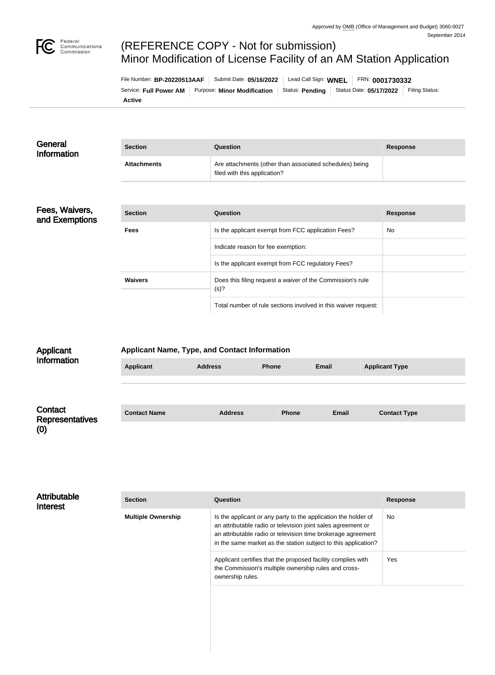# (REFERENCE COPY - Not for submission) Minor Modification of License Facility of an AM Station Application

| File Number: BP-20220513AAF |                                                                                                  | Submit Date: 05/16/2022 | Lead Call Sign: $WNEL$   FRN: 0001730332 |  |  |                |
|-----------------------------|--------------------------------------------------------------------------------------------------|-------------------------|------------------------------------------|--|--|----------------|
|                             | Service: Full Power AM   Purpose: Minor Modification   Status: Pending   Status Date: 05/17/2022 |                         |                                          |  |  | Filing Status: |
| <b>Active</b>               |                                                                                                  |                         |                                          |  |  |                |

| General<br><b>Information</b>    | <b>Section</b>     | Question                                                                                | <b>Response</b> |
|----------------------------------|--------------------|-----------------------------------------------------------------------------------------|-----------------|
|                                  | <b>Attachments</b> | Are attachments (other than associated schedules) being<br>filed with this application? |                 |
|                                  |                    |                                                                                         |                 |
| Fees, Waivers,<br>and Exemptions | <b>Section</b>     | Question                                                                                | <b>Response</b> |
|                                  | <b>Fees</b>        | Is the applicant exempt from FCC application Fees?                                      | No              |
|                                  |                    | Indicate reason for fee exemption:                                                      |                 |
|                                  |                    | Is the applicant exempt from FCC regulatory Fees?                                       |                 |
|                                  | <b>Waivers</b>     | Does this filing request a waiver of the Commission's rule<br>(s)?                      |                 |
|                                  |                    | Total number of rule sections involved in this waiver request:                          |                 |

| Applicant                         | <b>Applicant Name, Type, and Contact Information</b> |                |              |              |                       |  |
|-----------------------------------|------------------------------------------------------|----------------|--------------|--------------|-----------------------|--|
| Information                       | <b>Applicant</b>                                     | <b>Address</b> | <b>Phone</b> | <b>Email</b> | <b>Applicant Type</b> |  |
|                                   |                                                      |                |              |              |                       |  |
| Contact<br><b>Representatives</b> | <b>Contact Name</b>                                  | <b>Address</b> | <b>Phone</b> | <b>Email</b> | <b>Contact Type</b>   |  |
| (0)                               |                                                      |                |              |              |                       |  |

| <b>Attributable</b><br><b>Interest</b> | <b>Section</b>            | <b>Question</b>                                                                                                                                                                                                                                                  | <b>Response</b> |
|----------------------------------------|---------------------------|------------------------------------------------------------------------------------------------------------------------------------------------------------------------------------------------------------------------------------------------------------------|-----------------|
|                                        | <b>Multiple Ownership</b> | Is the applicant or any party to the application the holder of<br>an attributable radio or television joint sales agreement or<br>an attributable radio or television time brokerage agreement<br>in the same market as the station subject to this application? | No              |
|                                        |                           | Applicant certifies that the proposed facility complies with<br>the Commission's multiple ownership rules and cross-<br>ownership rules.                                                                                                                         | Yes             |
|                                        |                           |                                                                                                                                                                                                                                                                  |                 |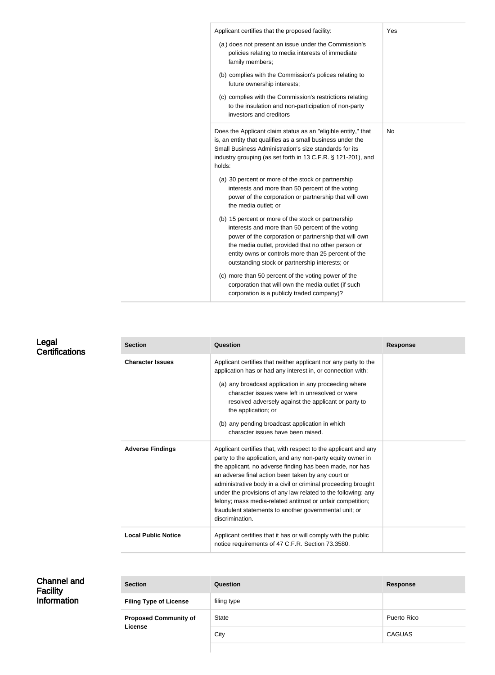| Applicant certifies that the proposed facility:                                                                                                                                                                                                                                                                                | Yes       |
|--------------------------------------------------------------------------------------------------------------------------------------------------------------------------------------------------------------------------------------------------------------------------------------------------------------------------------|-----------|
| (a) does not present an issue under the Commission's<br>policies relating to media interests of immediate<br>family members;                                                                                                                                                                                                   |           |
| (b) complies with the Commission's polices relating to<br>future ownership interests;                                                                                                                                                                                                                                          |           |
| (c) complies with the Commission's restrictions relating<br>to the insulation and non-participation of non-party<br>investors and creditors                                                                                                                                                                                    |           |
| Does the Applicant claim status as an "eligible entity," that<br>is, an entity that qualifies as a small business under the<br>Small Business Administration's size standards for its<br>industry grouping (as set forth in 13 C.F.R. § 121-201), and<br>holds:                                                                | <b>No</b> |
|                                                                                                                                                                                                                                                                                                                                |           |
| (a) 30 percent or more of the stock or partnership<br>interests and more than 50 percent of the voting<br>power of the corporation or partnership that will own<br>the media outlet; or                                                                                                                                        |           |
| (b) 15 percent or more of the stock or partnership<br>interests and more than 50 percent of the voting<br>power of the corporation or partnership that will own<br>the media outlet, provided that no other person or<br>entity owns or controls more than 25 percent of the<br>outstanding stock or partnership interests; or |           |

## Legal **Certifications**

| <b>Section</b>             | Question                                                                                                                                                                                                                                                                                                                                                                                                                                                                                                                       | <b>Response</b> |
|----------------------------|--------------------------------------------------------------------------------------------------------------------------------------------------------------------------------------------------------------------------------------------------------------------------------------------------------------------------------------------------------------------------------------------------------------------------------------------------------------------------------------------------------------------------------|-----------------|
| <b>Character Issues</b>    | Applicant certifies that neither applicant nor any party to the<br>application has or had any interest in, or connection with:<br>(a) any broadcast application in any proceeding where<br>character issues were left in unresolved or were<br>resolved adversely against the applicant or party to<br>the application; or<br>(b) any pending broadcast application in which<br>character issues have been raised.                                                                                                             |                 |
| <b>Adverse Findings</b>    | Applicant certifies that, with respect to the applicant and any<br>party to the application, and any non-party equity owner in<br>the applicant, no adverse finding has been made, nor has<br>an adverse final action been taken by any court or<br>administrative body in a civil or criminal proceeding brought<br>under the provisions of any law related to the following: any<br>felony; mass media-related antitrust or unfair competition;<br>fraudulent statements to another governmental unit; or<br>discrimination. |                 |
| <b>Local Public Notice</b> | Applicant certifies that it has or will comply with the public<br>notice requirements of 47 C.F.R. Section 73.3580.                                                                                                                                                                                                                                                                                                                                                                                                            |                 |

| <b>Channel and</b><br><b>Facility</b> | <b>Section</b>                | Question     | <b>Response</b> |
|---------------------------------------|-------------------------------|--------------|-----------------|
| Information                           | <b>Filing Type of License</b> | filing type  |                 |
|                                       | <b>Proposed Community of</b>  | <b>State</b> | Puerto Rico     |
|                                       | <b>License</b>                | City         | <b>CAGUAS</b>   |
|                                       |                               |              |                 |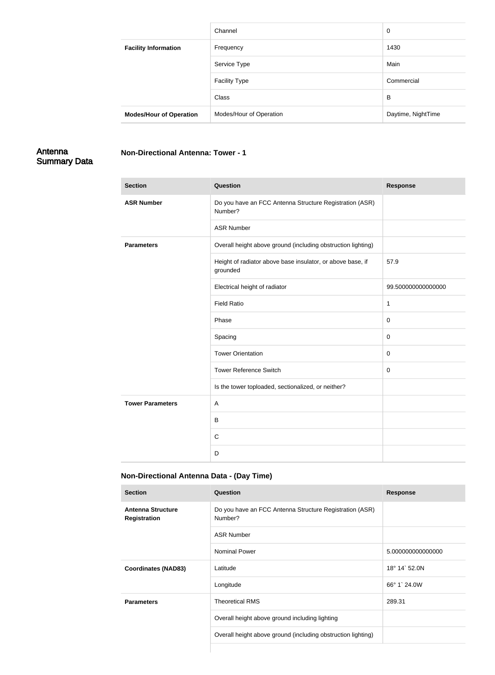|                                | Channel                 | 0                  |
|--------------------------------|-------------------------|--------------------|
| <b>Facility Information</b>    | Frequency               | 1430               |
|                                | Service Type            | Main               |
|                                | <b>Facility Type</b>    | Commercial         |
|                                | Class                   | B                  |
| <b>Modes/Hour of Operation</b> | Modes/Hour of Operation | Daytime, NightTime |

## Antenna Summary Data

| <b>Section</b>          | Question                                                               | <b>Response</b>    |
|-------------------------|------------------------------------------------------------------------|--------------------|
| <b>ASR Number</b>       | Do you have an FCC Antenna Structure Registration (ASR)<br>Number?     |                    |
|                         | <b>ASR Number</b>                                                      |                    |
| <b>Parameters</b>       | Overall height above ground (including obstruction lighting)           |                    |
|                         | Height of radiator above base insulator, or above base, if<br>grounded | 57.9               |
|                         | Electrical height of radiator                                          | 99.500000000000000 |
|                         | <b>Field Ratio</b>                                                     | 1                  |
|                         | Phase                                                                  | $\pmb{0}$          |
|                         | Spacing                                                                | $\pmb{0}$          |
|                         | <b>Tower Orientation</b>                                               | $\mathsf 0$        |
|                         | <b>Tower Reference Switch</b>                                          | $\mathsf 0$        |
|                         | Is the tower toploaded, sectionalized, or neither?                     |                    |
| <b>Tower Parameters</b> | A                                                                      |                    |
|                         | $\sf B$                                                                |                    |
|                         | $\mathbf C$                                                            |                    |
|                         | D                                                                      |                    |

# **Non-Directional Antenna Data - (Day Time)**

**Non-Directional Antenna: Tower - 1**

| <b>Section</b>                                  | Question                                                           | <b>Response</b>   |
|-------------------------------------------------|--------------------------------------------------------------------|-------------------|
| <b>Antenna Structure</b><br><b>Registration</b> | Do you have an FCC Antenna Structure Registration (ASR)<br>Number? |                   |
|                                                 | <b>ASR Number</b>                                                  |                   |
|                                                 | <b>Nominal Power</b>                                               | 5.000000000000000 |
| <b>Coordinates (NAD83)</b>                      | Latitude                                                           | 18° 14` 52.0N     |
|                                                 | Longitude                                                          | 66° 1` 24.0W      |
| <b>Parameters</b>                               | <b>Theoretical RMS</b>                                             | 289.31            |
|                                                 | Overall height above ground including lighting                     |                   |
|                                                 | Overall height above ground (including obstruction lighting)       |                   |
|                                                 |                                                                    |                   |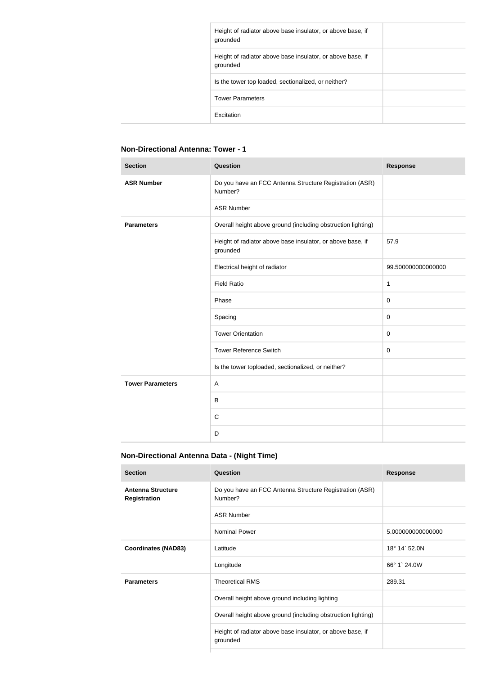| Height of radiator above base insulator, or above base, if<br>grounded |
|------------------------------------------------------------------------|
| Height of radiator above base insulator, or above base, if<br>grounded |
| Is the tower top loaded, sectionalized, or neither?                    |
| <b>Tower Parameters</b>                                                |
| Excitation                                                             |

#### **Non-Directional Antenna: Tower - 1**

| <b>Section</b>          | Question                                                               | <b>Response</b>    |
|-------------------------|------------------------------------------------------------------------|--------------------|
| <b>ASR Number</b>       | Do you have an FCC Antenna Structure Registration (ASR)<br>Number?     |                    |
|                         | <b>ASR Number</b>                                                      |                    |
| <b>Parameters</b>       | Overall height above ground (including obstruction lighting)           |                    |
|                         | Height of radiator above base insulator, or above base, if<br>grounded | 57.9               |
|                         | Electrical height of radiator                                          | 99.500000000000000 |
|                         | <b>Field Ratio</b>                                                     | $\mathbf 1$        |
|                         | Phase                                                                  | $\pmb{0}$          |
|                         | Spacing                                                                | $\pmb{0}$          |
|                         | <b>Tower Orientation</b>                                               | $\mathbf 0$        |
|                         | <b>Tower Reference Switch</b>                                          | $\mathbf 0$        |
|                         | Is the tower toploaded, sectionalized, or neither?                     |                    |
| <b>Tower Parameters</b> | A                                                                      |                    |
|                         | $\sf B$                                                                |                    |
|                         | $\mathsf{C}$                                                           |                    |
|                         | D                                                                      |                    |

### **Non-Directional Antenna Data - (Night Time)**

| <b>Question</b>                                                        | <b>Response</b>   |
|------------------------------------------------------------------------|-------------------|
| Do you have an FCC Antenna Structure Registration (ASR)<br>Number?     |                   |
| <b>ASR Number</b>                                                      |                   |
| <b>Nominal Power</b>                                                   | 5.000000000000000 |
| Latitude                                                               | 18° 14' 52.0N     |
| Longitude                                                              | 66° 1` 24.0W      |
| <b>Theoretical RMS</b>                                                 | 289.31            |
| Overall height above ground including lighting                         |                   |
| Overall height above ground (including obstruction lighting)           |                   |
| Height of radiator above base insulator, or above base, if<br>grounded |                   |
|                                                                        |                   |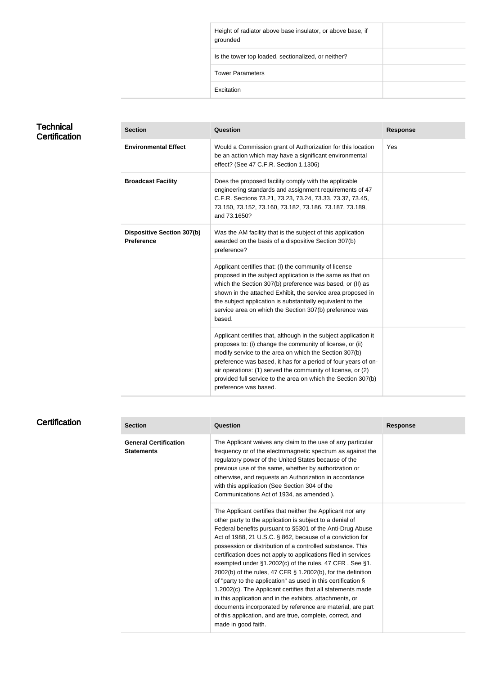| Height of radiator above base insulator, or above base, if<br>grounded |  |
|------------------------------------------------------------------------|--|
| Is the tower top loaded, sectionalized, or neither?                    |  |
| <b>Tower Parameters</b>                                                |  |
| Excitation                                                             |  |

#### **Technical Certification**

| <b>Section</b>                                         | Question                                                                                                                                                                                                                                                                                                                                                                                                           | <b>Response</b> |
|--------------------------------------------------------|--------------------------------------------------------------------------------------------------------------------------------------------------------------------------------------------------------------------------------------------------------------------------------------------------------------------------------------------------------------------------------------------------------------------|-----------------|
| <b>Environmental Effect</b>                            | Would a Commission grant of Authorization for this location<br>be an action which may have a significant environmental<br>effect? (See 47 C.F.R. Section 1.1306)                                                                                                                                                                                                                                                   | Yes             |
| <b>Broadcast Facility</b>                              | Does the proposed facility comply with the applicable<br>engineering standards and assignment requirements of 47<br>C.F.R. Sections 73.21, 73.23, 73.24, 73.33, 73.37, 73.45,<br>73.150, 73.152, 73.160, 73.182, 73.186, 73.187, 73.189,<br>and 73.1650?                                                                                                                                                           |                 |
| <b>Dispositive Section 307(b)</b><br><b>Preference</b> | Was the AM facility that is the subject of this application<br>awarded on the basis of a dispositive Section 307(b)<br>preference?                                                                                                                                                                                                                                                                                 |                 |
|                                                        | Applicant certifies that: (I) the community of license<br>proposed in the subject application is the same as that on<br>which the Section 307(b) preference was based, or (II) as<br>shown in the attached Exhibit, the service area proposed in<br>the subject application is substantially equivalent to the<br>service area on which the Section 307(b) preference was<br>based.                                |                 |
|                                                        | Applicant certifies that, although in the subject application it<br>proposes to: (i) change the community of license, or (ii)<br>modify service to the area on which the Section 307(b)<br>preference was based, it has for a period of four years of on-<br>air operations: (1) served the community of license, or (2)<br>provided full service to the area on which the Section 307(b)<br>preference was based. |                 |

# **Certification**

| <b>Section</b>                                    | Question                                                                                                                                                                                                                                                                                                                                                                                                                                                                                                                                                                                                                                                                                                                                                                                                                                                     | <b>Response</b> |
|---------------------------------------------------|--------------------------------------------------------------------------------------------------------------------------------------------------------------------------------------------------------------------------------------------------------------------------------------------------------------------------------------------------------------------------------------------------------------------------------------------------------------------------------------------------------------------------------------------------------------------------------------------------------------------------------------------------------------------------------------------------------------------------------------------------------------------------------------------------------------------------------------------------------------|-----------------|
| <b>General Certification</b><br><b>Statements</b> | The Applicant waives any claim to the use of any particular<br>frequency or of the electromagnetic spectrum as against the<br>regulatory power of the United States because of the<br>previous use of the same, whether by authorization or<br>otherwise, and requests an Authorization in accordance<br>with this application (See Section 304 of the<br>Communications Act of 1934, as amended.).                                                                                                                                                                                                                                                                                                                                                                                                                                                          |                 |
|                                                   | The Applicant certifies that neither the Applicant nor any<br>other party to the application is subject to a denial of<br>Federal benefits pursuant to §5301 of the Anti-Drug Abuse<br>Act of 1988, 21 U.S.C. § 862, because of a conviction for<br>possession or distribution of a controlled substance. This<br>certification does not apply to applications filed in services<br>exempted under §1.2002(c) of the rules, 47 CFR. See §1.<br>2002(b) of the rules, 47 CFR § 1.2002(b), for the definition<br>of "party to the application" as used in this certification $\S$<br>1.2002(c). The Applicant certifies that all statements made<br>in this application and in the exhibits, attachments, or<br>documents incorporated by reference are material, are part<br>of this application, and are true, complete, correct, and<br>made in good faith. |                 |